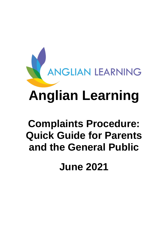

# **Complaints Procedure: Quick Guide for Parents and the General Public**

**June 2021**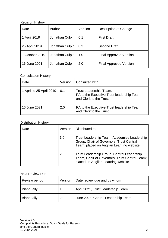## Revision History

| Date           | Author          | Version | Description of Change         |
|----------------|-----------------|---------|-------------------------------|
| 1 April 2019   | Jonathan Culpin | 0.1     | <b>First Draft</b>            |
| 25 April 2019  | Jonathan Culpin | 0.2     | <b>Second Draft</b>           |
| 1 October 2019 | Jonathan Culpin | 1.0     | <b>Final Approved Version</b> |
| 16 June 2021   | Jonathan Culpin | 2.0     | <b>Final Approved Version</b> |

#### Consultation History

| Date                     | Version | Consulted with                                                                                |
|--------------------------|---------|-----------------------------------------------------------------------------------------------|
| 1 April to 25 April 2019 | 0.1     | Trust Leadership Team,<br>PA to the Executive Trust leadership Team<br>and Clerk to the Trust |
| 16 June 2021             | 2.0     | PA to the Executive Trust leadership Team<br>and Clerk to the Trust                           |

# Distribution History

| Date | Version | Distributed to                                                                                                                      |
|------|---------|-------------------------------------------------------------------------------------------------------------------------------------|
|      | 1.0     | Trust Leadership Team, Academies Leadership<br>Group, Chair of Governors, Trust Central<br>Team; placed on Anglian Learning website |
|      | 2.0     | Trust Leadership Group, Central Leadership<br>Team, Chair of Governors, Trust Central Team;<br>placed on Anglian Learning website   |

## Next Review Due

| <b>Review period</b> | Version | Date review due and by whom        |
|----------------------|---------|------------------------------------|
| <b>Biannually</b>    | 1.0     | April 2021, Trust Leadership Team  |
| <b>Biannually</b>    | 2.0     | June 2023, Central Leadership Team |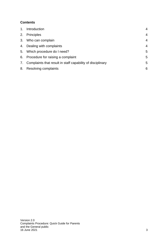# **Contents**

| 1. | Introduction                                                  | 4              |
|----|---------------------------------------------------------------|----------------|
| 2. | Principles                                                    | $\overline{4}$ |
| 3. | Who can complain                                              | $\overline{4}$ |
|    | 4. Dealing with complaints                                    | $\overline{4}$ |
|    | 5. Which procedure do I need?                                 | 5              |
|    | 6. Procedure for raising a complaint                          | 5              |
|    | 7. Complaints that result in staff capability of disciplinary | 5              |
| 8. | Resolving complaints                                          | 6              |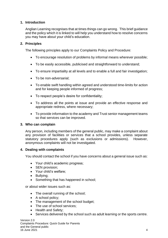## <span id="page-3-0"></span>**1. Introduction**

Anglian Learning recognises that at times things can go wrong. This brief guidance and the policy which it is linked to will help you understand how to resolve concerns you may have about your child's education.

#### <span id="page-3-1"></span>**2. Principles**

The following principles apply to our Complaints Policy and Procedure:

- To encourage resolution of problems by informal means wherever possible;
- To be easily accessible, publicised and straightforward to understand;
- To ensure impartiality at all levels and to enable a full and fair investigation;
- To be non-adversarial:
- To enable swift handling within agreed and understood time-limits for action and for keeping people informed of progress;
- To respect people's desire for confidentiality;
- To address all the points at issue and provide an effective response and appropriate redress, where necessary;
- To provide information to the academy and Trust senior management teams so that services can be improved.

#### <span id="page-3-2"></span>**3. Who can complain**

Any person, including members of the general public, may make a complaint about any provision of facilities or services that a school provides, unless separate statutory procedures apply (such as exclusions or admissions). However, anonymous complaints will not be investigated.

#### <span id="page-3-3"></span>**4. Dealing with complaints**

You should contact the school if you have concerns about a general issue such as:

- Your child's academic progress;
- **SEN provision:**
- Your child's welfare;
- Bullying;
- Something that has happened in school;

or about wider issues such as:

- The overall running of the school;
- A school policy;
- The management of the school budget;
- The use of school services;
- Health and Safety;
- Services delivered by the school such as adult learning or the sports centre.

Version 2.0 Complaints Procedure: Quick Guide for Parents and the General public 16 June 2021 4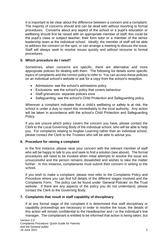It is important to be clear about the difference between a concern and a complaint. The majority of concerns should and can be dealt with without resorting to formal procedures. Concerns about any aspect of the school or a pupil's education or wellbeing should first be raised with an appropriate member of staff; this could be the pupil's class or subject teacher, their form tutor or a member of the senior leadership team at the individual school. Ideally, the member of staff will be able to address the concern on the spot, or can arrange a meeting to discuss the issue. Staff will always seek to resolve issues quickly and without recourse to formal procedures.

#### <span id="page-4-0"></span>**5. Which procedure do I need?**

Sometimes, when concerns are specific, there are alternative and more appropriate policies for dealing with them. The following list details some specific topics of complaints and the correct policy to refer to. You can access these policies on an individual school's website or ask for a copy from the school's reception.

- Admissions: see the school's admissions policy
- Exclusions: see the school's policy that covers behaviour
- Staff grievances: separate policies exist .
- Safeguarding: see the school's Child Protection and Safeguarding policy

Wherever a complaint indicates that a child's wellbeing or safety is at risk, the school is under a duty to report this immediately to the local authority. Any action will be taken in accordance with the school's Child Protection and Safeguarding Policy.

If you are unsure which policy covers the concern you have, please contact the Clerk to the Local Governing Body of the individual school, who will be able to help you. For complaints relating to Anglian Learning rather than an individual school, please contact the Clerk to the Trustees who will be able to advise you.

#### <span id="page-4-1"></span>**6. Procedure for raising a complaint**

In the first instance, please raise your concern with the relevant member of staff who will be happy to talk to you and seek to find a solution (see above). The formal procedures will need to be invoked when initial attempts to resolve the issue are unsuccessful and the person remains dissatisfied and wishes to take the matter further. In this instance, complainants must submit their concern in writing to the school.

If you wish to make a complaint, please now refer to the Complaints Policy and Procedure where you can find full details of the different stages involved and the Complaints Form. The policy can be found under 'General Policies' on the Trust website. If there are any aspects of the policy you do not understand, please contact the Clerk to the Governing Body.

#### <span id="page-4-2"></span>**7. Complaints that result in staff capability of disciplinary**

If at any formal stage of the complaint it is determined that staff disciplinary or capability proceedings are necessary in order to resolve the issue, the details of this action will remain confidential to the Headteacher and / or the individual's line manager. The complainant is entitled to be informed that action is being taken, but